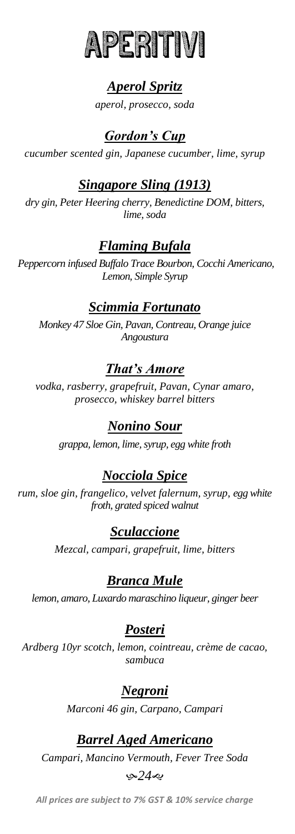

# *Aperol Spritz*

*aperol, prosecco, soda*

### *Gordon's Cup*

*cucumber scented gin, Japanese cucumber, lime, syrup*

#### *Singapore Sling (1913)*

*dry gin, Peter Heering cherry, Benedictine DOM, bitters, lime, soda*

### *Flaming Bufala*

*Peppercorn infused Buffalo Trace Bourbon, Cocchi Americano, Lemon, Simple Syrup*

#### *Scimmia Fortunato*

*Monkey 47 Sloe Gin, Pavan, Contreau, Orange juice Angoustura*

### *That's Amore*

*vodka, rasberry, grapefruit, Pavan, Cynar amaro, prosecco, whiskey barrel bitters*

## *Nonino Sour*

*grappa, lemon, lime, syrup, egg white froth*

### *Nocciola Spice*

*rum, sloe gin, frangelico, velvet falernum, syrup, egg white froth, grated spiced walnut*

### *Sculaccione*

*Mezcal, campari, grapefruit, lime, bitters*

### *Branca Mule*

*lemon, amaro, Luxardo maraschino liqueur, ginger beer*

### *Posteri*

*Ardberg 10yr scotch, lemon, cointreau, crème de cacao, sambuca*

#### *Negroni*

*Marconi 46 gin, Carpano, Campari*

#### *Barrel Aged Americano*

*Campari, Mancino Vermouth, Fever Tree Soda*

#### ب*ھ24*ھ

*All prices are subject to 7% GST & 10% service charge*